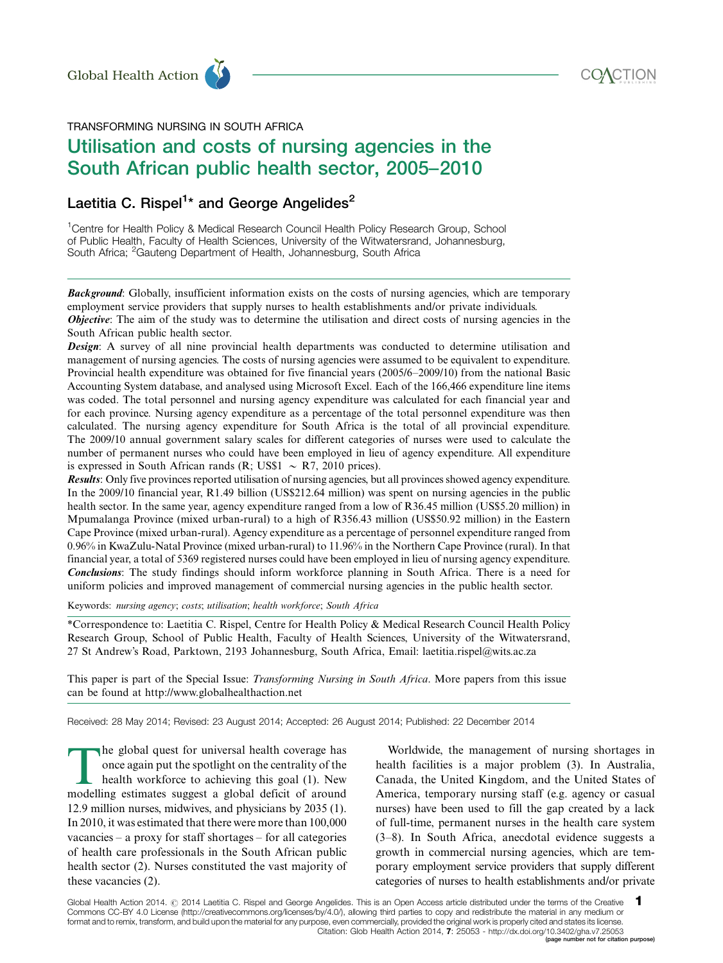

TRANSFORMING NURSING IN SOUTH AFRICA

# Utilisation and costs of nursing agencies in the South African public health sector, 2005-2010 Global Health Action<br>
TRANSFORMING NURSING IN SOUTH AFRICA<br>
Utilisation and costs of nursing agencies in the

# Laetitia C. Rispel<sup>1</sup>\* and George Angelides<sup>2</sup>

<sup>1</sup>Centre for Health Policy & Medical Research Council Health Policy Research Group, School of Public Health, Faculty of Health Sciences, University of the Witwatersrand, Johannesburg, South Africa; <sup>2</sup>Gauteng Department of Health, Johannesburg, South Africa

Background: Globally, insufficient information exists on the costs of nursing agencies, which are temporary employment service providers that supply nurses to health establishments and/or private individuals. **Objective:** The aim of the study was to determine the utilisation and direct costs of nursing agencies in the South African public health sector.

Design: A survey of all nine provincial health departments was conducted to determine utilisation and management of nursing agencies. The costs of nursing agencies were assumed to be equivalent to expenditure. Provincial health expenditure was obtained for five financial years (2005/6-2009/10) from the national Basic Accounting System database, and analysed using Microsoft Excel. Each of the 166,466 expenditure line items was coded. The total personnel and nursing agency expenditure was calculated for each financial year and for each province. Nursing agency expenditure as a percentage of the total personnel expenditure was then calculated. The nursing agency expenditure for South Africa is the total of all provincial expenditure. The 2009/10 annual government salary scales for different categories of nurses were used to calculate the number of permanent nurses who could have been employed in lieu of agency expenditure. All expenditure is expressed in South African rands  $(R; US$1 \sim R7, 2010$  prices).

Results: Only five provinces reported utilisation of nursing agencies, but all provinces showed agency expenditure. In the 2009/10 financial year, R1.49 billion (US\$212.64 million) was spent on nursing agencies in the public health sector. In the same year, agency expenditure ranged from a low of R36.45 million (US\$5.20 million) in Mpumalanga Province (mixed urban-rural) to a high of R356.43 million (US\$50.92 million) in the Eastern Cape Province (mixed urban-rural). Agency expenditure as a percentage of personnel expenditure ranged from 0.96% in KwaZulu-Natal Province (mixed urban-rural) to 11.96% in the Northern Cape Province (rural). In that financial year, a total of 5369 registered nurses could have been employed in lieu of nursing agency expenditure. Conclusions: The study findings should inform workforce planning in South Africa. There is a need for uniform policies and improved management of commercial nursing agencies in the public health sector.

Keywords: nursing agency; costs; utilisation; health workforce; South Africa

\*Correspondence to: Laetitia C. Rispel, Centre for Health Policy & Medical Research Council Health Policy Research Group, School of Public Health, Faculty of Health Sciences, University of the Witwatersrand, 27 St Andrew's Road, Parktown, 2193 Johannesburg, South Africa, Email: laetitia.rispel@wits.ac.za

[This paper is part of the Special Issue:](http://www.globalhealthaction.net/index.php/gha/issue/view/1602#Transforming%20Nursing%20in%20South%20Africa) Transforming Nursing in South Africa. More papers from this issue [can be found at http://www.globalhealthaction.net](http://www.globalhealthaction.net/index.php/gha/issue/view/1602#Transforming%20Nursing%20in%20South%20Africa)

Received: 28 May 2014; Revised: 23 August 2014; Accepted: 26 August 2014; Published: 22 December 2014

The global quest for universal health coverage has<br>once again put the spotlight on the centrality of the<br>health workforce to achieving this goal (1). New<br>modelling estimates suggest a global deficit of around once again put the spotlight on the centrality of the health workforce to achieving this goal (1). New modelling estimates suggest a global deficit of around 12.9 million nurses, midwives, and physicians by 2035 (1). In 2010, it was estimated that there were more than 100,000 vacancies - a proxy for staff shortages - for all categories of health care professionals in the South African public health sector (2). Nurses constituted the vast majority of these vacancies (2).

Worldwide, the management of nursing shortages in health facilities is a major problem (3). In Australia, Canada, the United Kingdom, and the United States of America, temporary nursing staff (e.g. agency or casual nurses) have been used to fill the gap created by a lack of full-time, permanent nurses in the health care system (3-8). In South Africa, anecdotal evidence suggests a growth in commercial nursing agencies, which are temporary employment service providers that supply different categories of nurses to health establishments and/or private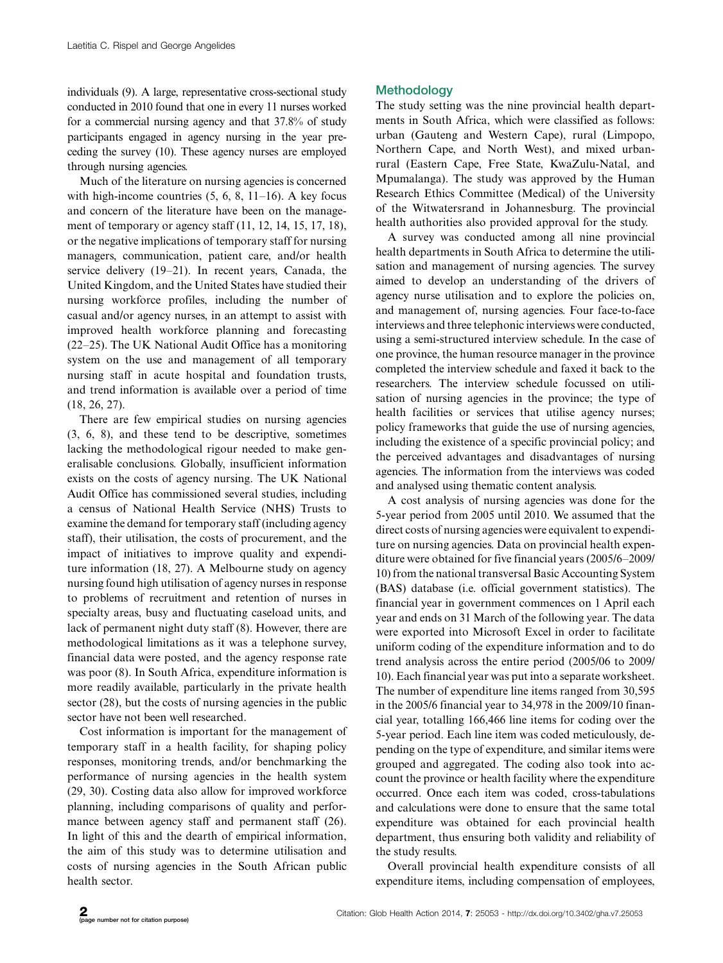individuals (9). A large, representative cross-sectional study conducted in 2010 found that one in every 11 nurses worked for a commercial nursing agency and that 37.8% of study participants engaged in agency nursing in the year preceding the survey (10). These agency nurses are employed through nursing agencies.

Much of the literature on nursing agencies is concerned with high-income countries (5, 6, 8, 11-16). A key focus and concern of the literature have been on the management of temporary or agency staff (11, 12, 14, 15, 17, 18), or the negative implications of temporary staff for nursing managers, communication, patient care, and/or health service delivery (19-21). In recent years, Canada, the United Kingdom, and the United States have studied their nursing workforce profiles, including the number of casual and/or agency nurses, in an attempt to assist with improved health workforce planning and forecasting (22-25). The UK National Audit Office has a monitoring system on the use and management of all temporary nursing staff in acute hospital and foundation trusts, and trend information is available over a period of time (18, 26, 27).

There are few empirical studies on nursing agencies (3, 6, 8), and these tend to be descriptive, sometimes lacking the methodological rigour needed to make generalisable conclusions. Globally, insufficient information exists on the costs of agency nursing. The UK National Audit Office has commissioned several studies, including a census of National Health Service (NHS) Trusts to examine the demand for temporary staff (including agency staff), their utilisation, the costs of procurement, and the impact of initiatives to improve quality and expenditure information (18, 27). A Melbourne study on agency nursing found high utilisation of agency nurses in response to problems of recruitment and retention of nurses in specialty areas, busy and fluctuating caseload units, and lack of permanent night duty staff (8). However, there are methodological limitations as it was a telephone survey, financial data were posted, and the agency response rate was poor (8). In South Africa, expenditure information is more readily available, particularly in the private health sector (28), but the costs of nursing agencies in the public sector have not been well researched.

Cost information is important for the management of temporary staff in a health facility, for shaping policy responses, monitoring trends, and/or benchmarking the performance of nursing agencies in the health system (29, 30). Costing data also allow for improved workforce planning, including comparisons of quality and performance between agency staff and permanent staff (26). In light of this and the dearth of empirical information, the aim of this study was to determine utilisation and costs of nursing agencies in the South African public health sector.

# **Methodology**

The study setting was the nine provincial health departments in South Africa, which were classified as follows: urban (Gauteng and Western Cape), rural (Limpopo, Northern Cape, and North West), and mixed urbanrural (Eastern Cape, Free State, KwaZulu-Natal, and Mpumalanga). The study was approved by the Human Research Ethics Committee (Medical) of the University of the Witwatersrand in Johannesburg. The provincial health authorities also provided approval for the study.

A survey was conducted among all nine provincial health departments in South Africa to determine the utilisation and management of nursing agencies. The survey aimed to develop an understanding of the drivers of agency nurse utilisation and to explore the policies on, and management of, nursing agencies. Four face-to-face interviews and three telephonic interviews were conducted, using a semi-structured interview schedule. In the case of one province, the human resource manager in the province completed the interview schedule and faxed it back to the researchers. The interview schedule focussed on utilisation of nursing agencies in the province; the type of health facilities or services that utilise agency nurses; policy frameworks that guide the use of nursing agencies, including the existence of a specific provincial policy; and the perceived advantages and disadvantages of nursing agencies. The information from the interviews was coded and analysed using thematic content analysis.

A cost analysis of nursing agencies was done for the 5-year period from 2005 until 2010. We assumed that the direct costs of nursing agencies were equivalent to expenditure on nursing agencies. Data on provincial health expenditure were obtained for five financial years (2005/6-2009/ 10) from the national transversal Basic Accounting System (BAS) database (i.e. official government statistics). The financial year in government commences on 1 April each year and ends on 31 March of the following year. The data were exported into Microsoft Excel in order to facilitate uniform coding of the expenditure information and to do trend analysis across the entire period (2005/06 to 2009/ 10). Each financial year was put into a separate worksheet. The number of expenditure line items ranged from 30,595 in the 2005/6 financial year to 34,978 in the 2009/10 financial year, totalling 166,466 line items for coding over the 5-year period. Each line item was coded meticulously, depending on the type of expenditure, and similar items were grouped and aggregated. The coding also took into account the province or health facility where the expenditure occurred. Once each item was coded, cross-tabulations and calculations were done to ensure that the same total expenditure was obtained for each provincial health department, thus ensuring both validity and reliability of the study results.

Overall provincial health expenditure consists of all expenditure items, including compensation of employees,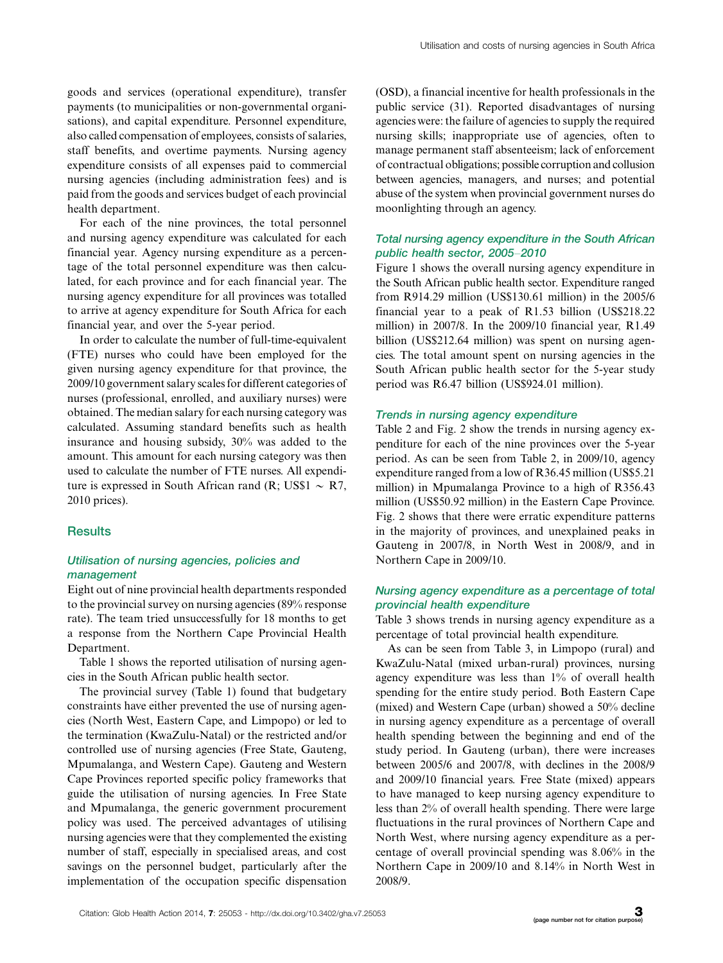goods and services (operational expenditure), transfer payments (to municipalities or non-governmental organisations), and capital expenditure. Personnel expenditure, also called compensation of employees, consists of salaries, staff benefits, and overtime payments. Nursing agency expenditure consists of all expenses paid to commercial nursing agencies (including administration fees) and is paid from the goods and services budget of each provincial health department.

For each of the nine provinces, the total personnel and nursing agency expenditure was calculated for each financial year. Agency nursing expenditure as a percentage of the total personnel expenditure was then calculated, for each province and for each financial year. The nursing agency expenditure for all provinces was totalled to arrive at agency expenditure for South Africa for each financial year, and over the 5-year period.

In order to calculate the number of full-time-equivalent (FTE) nurses who could have been employed for the given nursing agency expenditure for that province, the 2009/10 government salary scales for different categories of nurses (professional, enrolled, and auxiliary nurses) were obtained. The median salary for each nursing category was calculated. Assuming standard benefits such as health insurance and housing subsidy, 30% was added to the amount. This amount for each nursing category was then used to calculate the number of FTE nurses. All expenditure is expressed in South African rand  $(R; US$1 \sim R7$ , 2010 prices).

### **Results**

# Utilisation of nursing agencies, policies and management

Eight out of nine provincial health departments responded to the provincial survey on nursing agencies (89% response rate). The team tried unsuccessfully for 18 months to get a response from the Northern Cape Provincial Health Department.

Table 1 shows the reported utilisation of nursing agencies in the South African public health sector.

The provincial survey (Table 1) found that budgetary constraints have either prevented the use of nursing agencies (North West, Eastern Cape, and Limpopo) or led to the termination (KwaZulu-Natal) or the restricted and/or controlled use of nursing agencies (Free State, Gauteng, Mpumalanga, and Western Cape). Gauteng and Western Cape Provinces reported specific policy frameworks that guide the utilisation of nursing agencies. In Free State and Mpumalanga, the generic government procurement policy was used. The perceived advantages of utilising nursing agencies were that they complemented the existing number of staff, especially in specialised areas, and cost savings on the personnel budget, particularly after the implementation of the occupation specific dispensation

(OSD), a financial incentive for health professionals in the public service (31). Reported disadvantages of nursing agencies were: the failure of agencies to supply the required nursing skills; inappropriate use of agencies, often to manage permanent staff absenteeism; lack of enforcement of contractual obligations; possible corruption and collusion between agencies, managers, and nurses; and potential abuse of the system when provincial government nurses do moonlighting through an agency.

# Total nursing agency expenditure in the South African public health sector, 2005-2010

Figure 1 shows the overall nursing agency expenditure in the South African public health sector. Expenditure ranged from R914.29 million (US\$130.61 million) in the 2005/6 financial year to a peak of R1.53 billion (US\$218.22 million) in 2007/8. In the 2009/10 financial year, R1.49 billion (US\$212.64 million) was spent on nursing agencies. The total amount spent on nursing agencies in the South African public health sector for the 5-year study period was R6.47 billion (US\$924.01 million).

### Trends in nursing agency expenditure

Table 2 and Fig. 2 show the trends in nursing agency expenditure for each of the nine provinces over the 5-year period. As can be seen from Table 2, in 2009/10, agency expenditure ranged from a low of R36.45 million (US\$5.21 million) in Mpumalanga Province to a high of R356.43 million (US\$50.92 million) in the Eastern Cape Province. Fig. 2 shows that there were erratic expenditure patterns in the majority of provinces, and unexplained peaks in Gauteng in 2007/8, in North West in 2008/9, and in Northern Cape in 2009/10.

# Nursing agency expenditure as a percentage of total provincial health expenditure

Table 3 shows trends in nursing agency expenditure as a percentage of total provincial health expenditure.

As can be seen from Table 3, in Limpopo (rural) and KwaZulu-Natal (mixed urban-rural) provinces, nursing agency expenditure was less than 1% of overall health spending for the entire study period. Both Eastern Cape (mixed) and Western Cape (urban) showed a 50% decline in nursing agency expenditure as a percentage of overall health spending between the beginning and end of the study period. In Gauteng (urban), there were increases between 2005/6 and 2007/8, with declines in the 2008/9 and 2009/10 financial years. Free State (mixed) appears to have managed to keep nursing agency expenditure to less than 2% of overall health spending. There were large fluctuations in the rural provinces of Northern Cape and North West, where nursing agency expenditure as a percentage of overall provincial spending was 8.06% in the Northern Cape in 2009/10 and 8.14% in North West in 2008/9.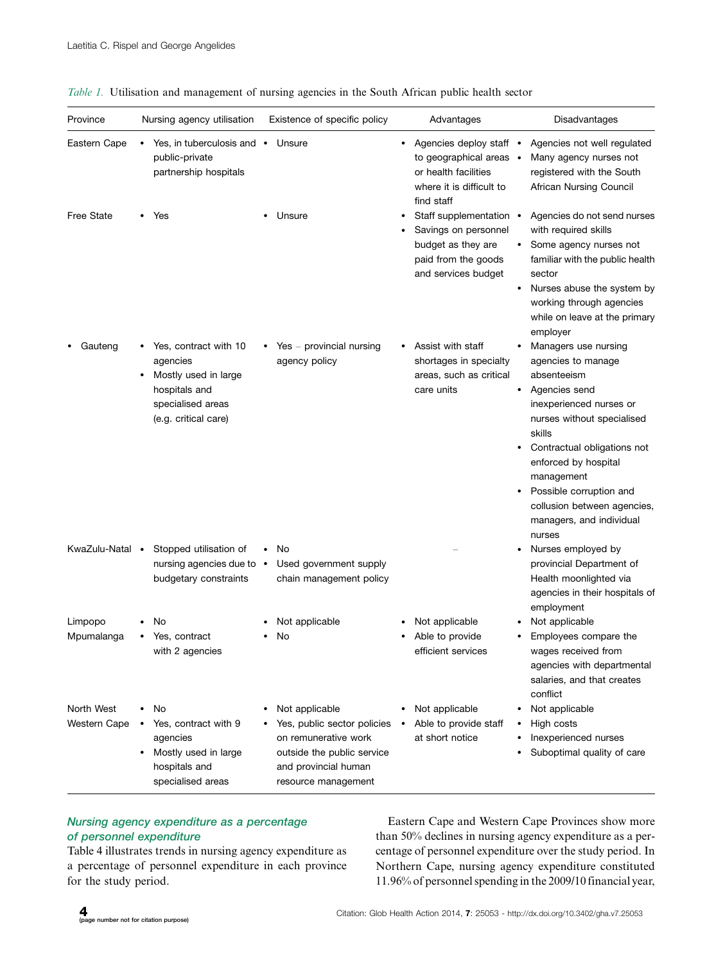| Province                   | Nursing agency utilisation                                                                                              | Existence of specific policy                                                                                                                       | Advantages                                                                                                                | Disadvantages                                                                                                                                                                                                                                                                                                                   |
|----------------------------|-------------------------------------------------------------------------------------------------------------------------|----------------------------------------------------------------------------------------------------------------------------------------------------|---------------------------------------------------------------------------------------------------------------------------|---------------------------------------------------------------------------------------------------------------------------------------------------------------------------------------------------------------------------------------------------------------------------------------------------------------------------------|
| Eastern Cape               | Yes, in tuberculosis and •<br>public-private<br>partnership hospitals                                                   | Unsure                                                                                                                                             | Agencies deploy staff •<br>٠<br>to geographical areas •<br>or health facilities<br>where it is difficult to<br>find staff | Agencies not well regulated<br>Many agency nurses not<br>registered with the South<br>African Nursing Council                                                                                                                                                                                                                   |
| <b>Free State</b>          | Yes                                                                                                                     | Unsure                                                                                                                                             | Staff supplementation •<br>Savings on personnel<br>budget as they are<br>paid from the goods<br>and services budget       | Agencies do not send nurses<br>with required skills<br>Some agency nurses not<br>familiar with the public health<br>sector<br>Nurses abuse the system by<br>٠<br>working through agencies<br>while on leave at the primary<br>employer                                                                                          |
| Gauteng                    | Yes, contract with 10<br>agencies<br>Mostly used in large<br>hospitals and<br>specialised areas<br>(e.g. critical care) | $Yes - provided nursing$<br>agency policy                                                                                                          | Assist with staff<br>shortages in specialty<br>areas, such as critical<br>care units                                      | Managers use nursing<br>agencies to manage<br>absenteeism<br>Agencies send<br>$\bullet$<br>inexperienced nurses or<br>nurses without specialised<br>skills<br>Contractual obligations not<br>enforced by hospital<br>management<br>Possible corruption and<br>collusion between agencies,<br>managers, and individual<br>nurses |
| KwaZulu-Natal              | Stopped utilisation of<br>$\bullet$<br>nursing agencies due to •<br>budgetary constraints                               | No<br>Used government supply<br>chain management policy                                                                                            |                                                                                                                           | Nurses employed by<br>provincial Department of<br>Health moonlighted via<br>agencies in their hospitals of<br>employment                                                                                                                                                                                                        |
| Limpopo<br>Mpumalanga      | No<br>Yes, contract<br>with 2 agencies                                                                                  | Not applicable<br>No                                                                                                                               | Not applicable<br>Able to provide<br>efficient services                                                                   | Not applicable<br>Employees compare the<br>wages received from<br>agencies with departmental<br>salaries, and that creates<br>conflict                                                                                                                                                                                          |
| North West<br>Western Cape | No<br>Yes, contract with 9<br>agencies<br>Mostly used in large<br>hospitals and<br>specialised areas                    | Not applicable<br>Yes, public sector policies<br>on remunerative work<br>outside the public service<br>and provincial human<br>resource management | Not applicable<br>Able to provide staff<br>at short notice                                                                | Not applicable<br>High costs<br>Inexperienced nurses<br>Suboptimal quality of care                                                                                                                                                                                                                                              |

Table 1. Utilisation and management of nursing agencies in the South African public health sector

# Nursing agency expenditure as a percentage of personnel expenditure

Table 4 illustrates trends in nursing agency expenditure as a percentage of personnel expenditure in each province for the study period.

Eastern Cape and Western Cape Provinces show more than 50% declines in nursing agency expenditure as a percentage of personnel expenditure over the study period. In Northern Cape, nursing agency expenditure constituted 11.96% of personnel spending in the 2009/10 financial year,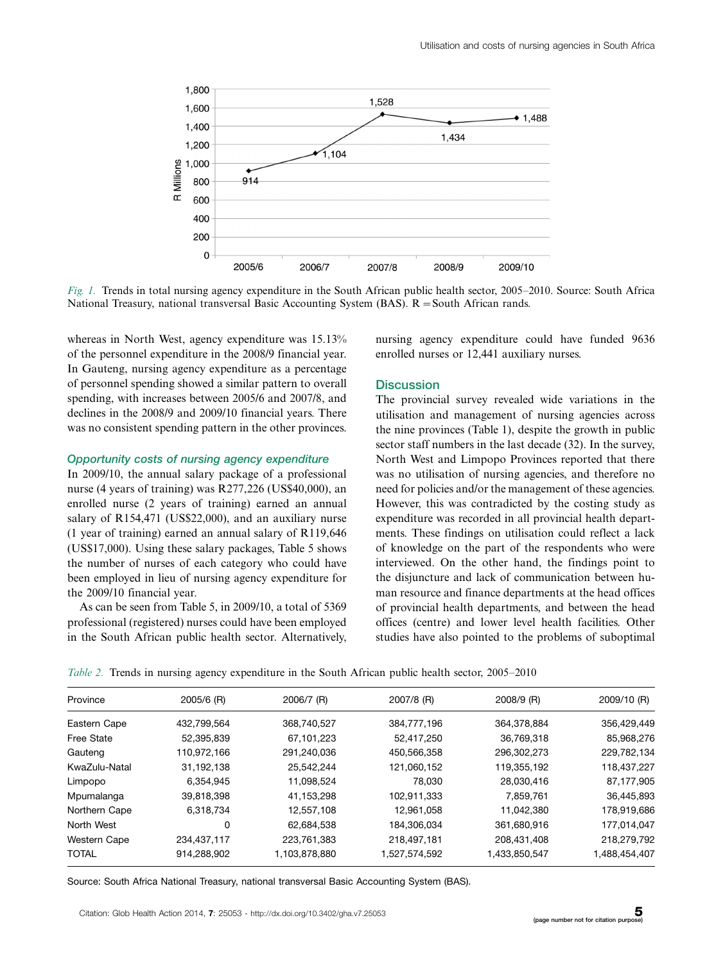

Fig. 1. Trends in total nursing agency expenditure in the South African public health sector, 2005–2010. Source: South Africa National Treasury, national transversal Basic Accounting System (BAS).  $R =$  South African rands.

whereas in North West, agency expenditure was  $15.13\%$ of the personnel expenditure in the 2008/9 financial year. In Gauteng, nursing agency expenditure as a percentage of personnel spending showed a similar pattern to overall spending, with increases between 2005/6 and 2007/8, and declines in the 2008/9 and 2009/10 financial years. There was no consistent spending pattern in the other provinces.

### Opportunity costs of nursing agency expenditure

In 2009/10, the annual salary package of a professional nurse (4 years of training) was R277,226 (US\$40,000), an enrolled nurse (2 years of training) earned an annual salary of R154,471 (US\$22,000), and an auxiliary nurse (1 year of training) earned an annual salary of R119,646 (US\$17,000). Using these salary packages, Table 5 shows the number of nurses of each category who could have been employed in lieu of nursing agency expenditure for the 2009/10 financial year.

As can be seen from Table 5, in 2009/10, a total of 5369 professional (registered) nurses could have been employed in the South African public health sector. Alternatively,

nursing agency expenditure could have funded 9636 enrolled nurses or 12,441 auxiliary nurses.

### **Discussion**

The provincial survey revealed wide variations in the utilisation and management of nursing agencies across the nine provinces (Table 1), despite the growth in public sector staff numbers in the last decade (32). In the survey, North West and Limpopo Provinces reported that there was no utilisation of nursing agencies, and therefore no need for policies and/or the management of these agencies. However, this was contradicted by the costing study as expenditure was recorded in all provincial health departments. These findings on utilisation could reflect a lack of knowledge on the part of the respondents who were interviewed. On the other hand, the findings point to the disjuncture and lack of communication between human resource and finance departments at the head offices of provincial health departments, and between the head offices (centre) and lower level health facilities. Other studies have also pointed to the problems of suboptimal

|  | Table 2. Trends in nursing agency expenditure in the South African public health sector, 2005–2010 |  |  |  |
|--|----------------------------------------------------------------------------------------------------|--|--|--|
|  |                                                                                                    |  |  |  |

| Province            | 2005/6 (R)  | 2006/7 (R)    | 2007/8 (R)    | 2008/9 (R)    | 2009/10 (R)   |
|---------------------|-------------|---------------|---------------|---------------|---------------|
| Eastern Cape        | 432,799,564 | 368,740,527   | 384,777,196   | 364,378,884   | 356,429,449   |
| <b>Free State</b>   | 52,395,839  | 67,101,223    | 52,417,250    | 36,769,318    | 85,968,276    |
| Gauteng             | 110,972,166 | 291,240,036   | 450,566,358   | 296,302,273   | 229,782,134   |
| KwaZulu-Natal       | 31,192,138  | 25,542,244    | 121,060,152   | 119,355,192   | 118,437,227   |
| Limpopo             | 6.354.945   | 11,098,524    | 78,030        | 28,030,416    | 87,177,905    |
| Mpumalanga          | 39,818,398  | 41,153,298    | 102.911.333   | 7,859,761     | 36,445,893    |
| Northern Cape       | 6,318,734   | 12.557.108    | 12.961.058    | 11.042.380    | 178,919,686   |
| North West          | 0           | 62,684,538    | 184,306,034   | 361,680,916   | 177,014,047   |
| <b>Western Cape</b> | 234,437,117 | 223,761,383   | 218,497,181   | 208,431,408   | 218,279,792   |
| <b>TOTAL</b>        | 914.288.902 | 1,103,878,880 | 1,527,574,592 | 1,433,850,547 | 1,488,454,407 |
|                     |             |               |               |               |               |

Source: South Africa National Treasury, national transversal Basic Accounting System (BAS).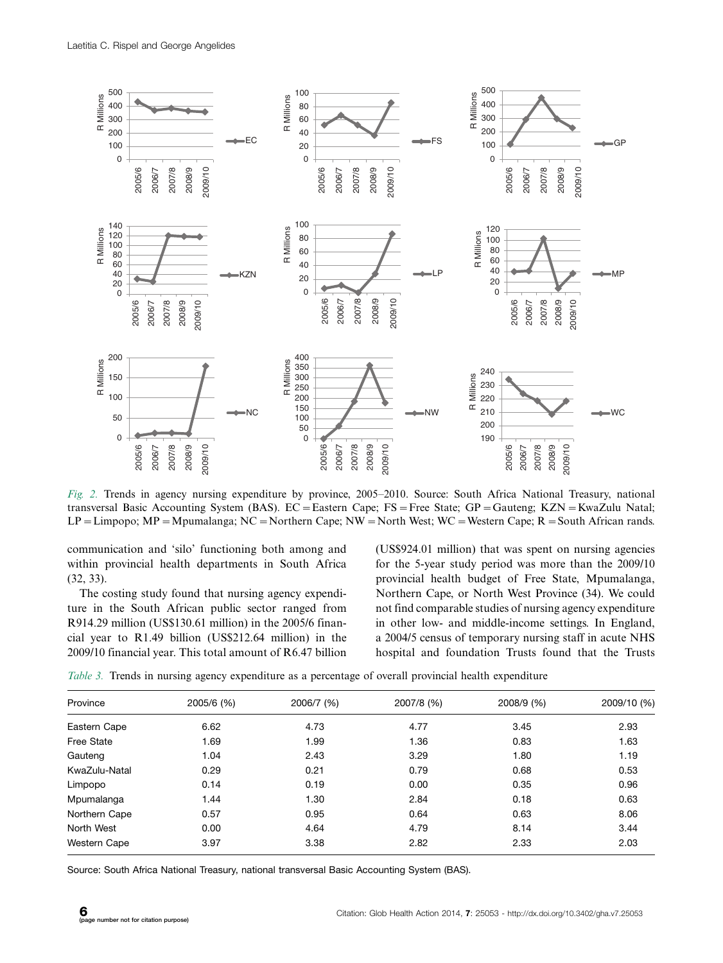

Fig. 2. Trends in agency nursing expenditure by province, 2005-2010. Source: South Africa National Treasury, national transversal Basic Accounting System (BAS). EC = Eastern Cape; FS = Free State; GP = Gauteng; KZN = KwaZulu Natal;  $LP = Limpopo$ ; MP = Mpumalanga; NC = Northern Cape; NW = North West; WC = Western Cape; R = South African rands.

communication and 'silo' functioning both among and within provincial health departments in South Africa (32, 33).

The costing study found that nursing agency expenditure in the South African public sector ranged from R914.29 million (US\$130.61 million) in the 2005/6 financial year to R1.49 billion (US\$212.64 million) in the 2009/10 financial year. This total amount of R6.47 billion (US\$924.01 million) that was spent on nursing agencies for the 5-year study period was more than the 2009/10 provincial health budget of Free State, Mpumalanga, Northern Cape, or North West Province (34). We could not find comparable studies of nursing agency expenditure in other low- and middle-income settings. In England, a 2004/5 census of temporary nursing staff in acute NHS hospital and foundation Trusts found that the Trusts

Table 3. Trends in nursing agency expenditure as a percentage of overall provincial health expenditure

| Province            | 2005/6 (%) | 2006/7 (%) | 2007/8 (%) | 2008/9 (%) | 2009/10 (%) |
|---------------------|------------|------------|------------|------------|-------------|
| Eastern Cape        | 6.62       | 4.73       | 4.77       | 3.45       | 2.93        |
| <b>Free State</b>   | 1.69       | 1.99       | 1.36       | 0.83       | 1.63        |
| Gauteng             | 1.04       | 2.43       | 3.29       | 1.80       | 1.19        |
| KwaZulu-Natal       | 0.29       | 0.21       | 0.79       | 0.68       | 0.53        |
| Limpopo             | 0.14       | 0.19       | 0.00       | 0.35       | 0.96        |
| Mpumalanga          | 1.44       | 1.30       | 2.84       | 0.18       | 0.63        |
| Northern Cape       | 0.57       | 0.95       | 0.64       | 0.63       | 8.06        |
| North West          | 0.00       | 4.64       | 4.79       | 8.14       | 3.44        |
| <b>Western Cape</b> | 3.97       | 3.38       | 2.82       | 2.33       | 2.03        |

Source: South Africa National Treasury, national transversal Basic Accounting System (BAS).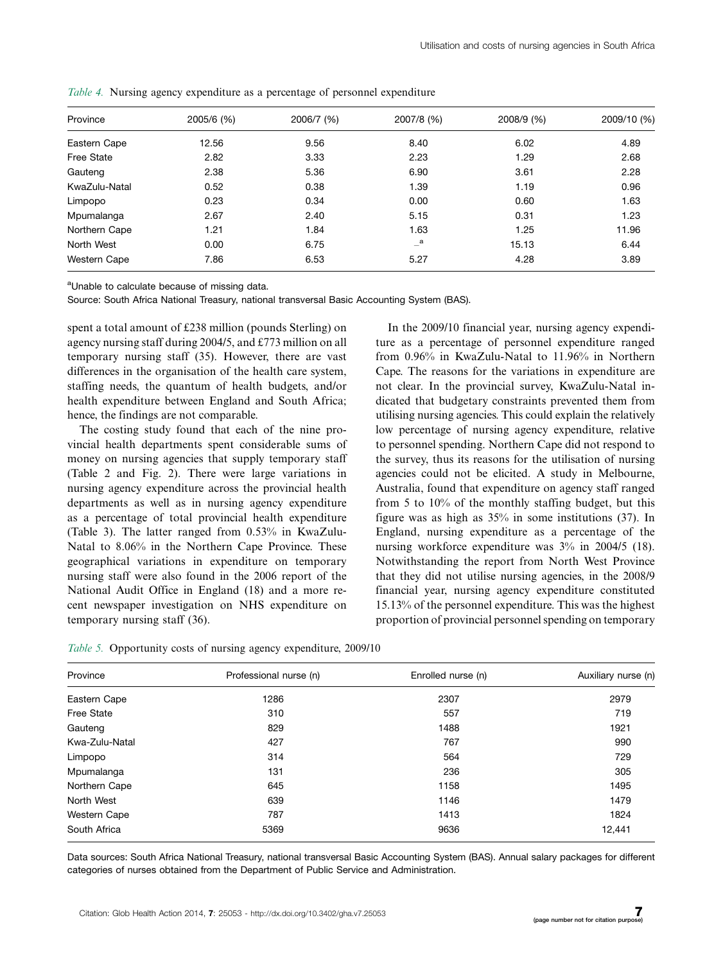| Province          | 2005/6 (%) | 2006/7 (%) | 2007/8 (%) | 2008/9 (%) | 2009/10 (%) |
|-------------------|------------|------------|------------|------------|-------------|
| Eastern Cape      | 12.56      | 9.56       | 8.40       | 6.02       | 4.89        |
| <b>Free State</b> | 2.82       | 3.33       | 2.23       | 1.29       | 2.68        |
| Gauteng           | 2.38       | 5.36       | 6.90       | 3.61       | 2.28        |
| KwaZulu-Natal     | 0.52       | 0.38       | 1.39       | 1.19       | 0.96        |
| Limpopo           | 0.23       | 0.34       | 0.00       | 0.60       | 1.63        |
| Mpumalanga        | 2.67       | 2.40       | 5.15       | 0.31       | 1.23        |
| Northern Cape     | 1.21       | 1.84       | 1.63       | 1.25       | 11.96       |
| North West        | 0.00       | 6.75       | $-$ a      | 15.13      | 6.44        |
| Western Cape      | 7.86       | 6.53       | 5.27       | 4.28       | 3.89        |

Table 4. Nursing agency expenditure as a percentage of personnel expenditure

<sup>a</sup>Unable to calculate because of missing data.

Source: South Africa National Treasury, national transversal Basic Accounting System (BAS).

spent a total amount of £238 million (pounds Sterling) on agency nursing staff during 2004/5, and £773 million on all temporary nursing staff (35). However, there are vast differences in the organisation of the health care system, staffing needs, the quantum of health budgets, and/or health expenditure between England and South Africa; hence, the findings are not comparable.

The costing study found that each of the nine provincial health departments spent considerable sums of money on nursing agencies that supply temporary staff (Table 2 and Fig. 2). There were large variations in nursing agency expenditure across the provincial health departments as well as in nursing agency expenditure as a percentage of total provincial health expenditure (Table 3). The latter ranged from 0.53% in KwaZulu-Natal to 8.06% in the Northern Cape Province. These geographical variations in expenditure on temporary nursing staff were also found in the 2006 report of the National Audit Office in England (18) and a more recent newspaper investigation on NHS expenditure on temporary nursing staff (36).

In the 2009/10 financial year, nursing agency expenditure as a percentage of personnel expenditure ranged from 0.96% in KwaZulu-Natal to 11.96% in Northern Cape. The reasons for the variations in expenditure are not clear. In the provincial survey, KwaZulu-Natal indicated that budgetary constraints prevented them from utilising nursing agencies. This could explain the relatively low percentage of nursing agency expenditure, relative to personnel spending. Northern Cape did not respond to the survey, thus its reasons for the utilisation of nursing agencies could not be elicited. A study in Melbourne, Australia, found that expenditure on agency staff ranged from 5 to 10% of the monthly staffing budget, but this figure was as high as 35% in some institutions (37). In England, nursing expenditure as a percentage of the nursing workforce expenditure was 3% in 2004/5 (18). Notwithstanding the report from North West Province that they did not utilise nursing agencies, in the 2008/9 financial year, nursing agency expenditure constituted 15.13% of the personnel expenditure. This was the highest proportion of provincial personnel spending on temporary

|  | Table 5. Opportunity costs of nursing agency expenditure, 2009/10 |  |
|--|-------------------------------------------------------------------|--|
|  |                                                                   |  |

| Province            | Professional nurse (n) | Enrolled nurse (n) | Auxiliary nurse (n) |
|---------------------|------------------------|--------------------|---------------------|
| Eastern Cape        | 1286                   | 2307               | 2979                |
| <b>Free State</b>   | 310                    | 557                | 719                 |
| Gauteng             | 829                    | 1488               | 1921                |
| Kwa-Zulu-Natal      | 427                    | 767                | 990                 |
| Limpopo             | 314                    | 564                | 729                 |
| Mpumalanga          | 131                    | 236                | 305                 |
| Northern Cape       | 645                    | 1158               | 1495                |
| North West          | 639                    | 1146               | 1479                |
| <b>Western Cape</b> | 787                    | 1413               | 1824                |
| South Africa        | 5369                   | 9636               | 12,441              |

Data sources: South Africa National Treasury, national transversal Basic Accounting System (BAS). Annual salary packages for different categories of nurses obtained from the Department of Public Service and Administration.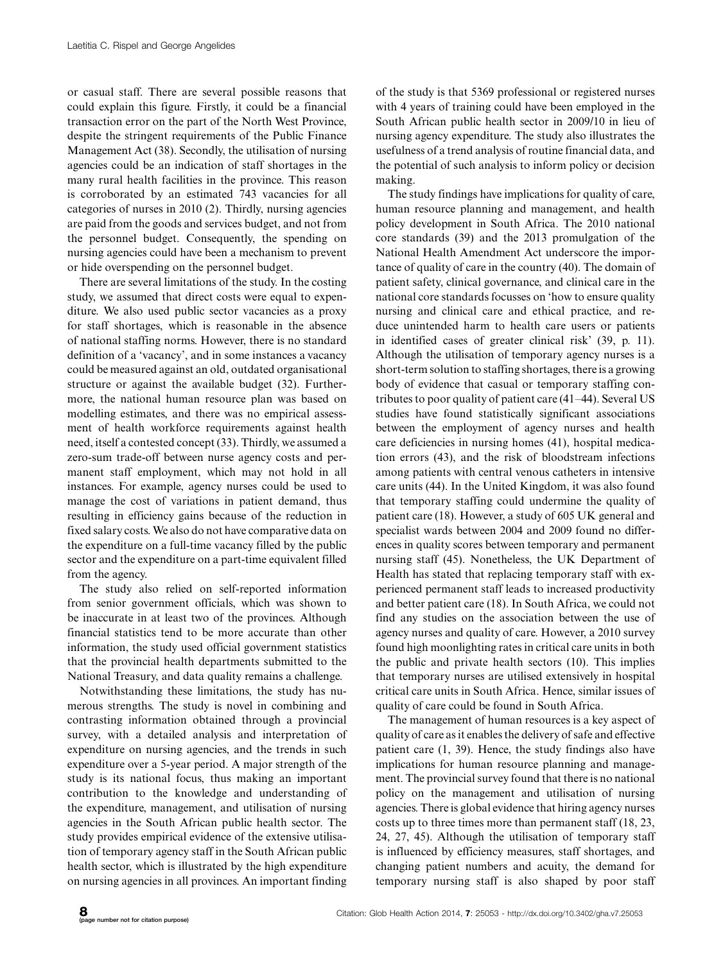or casual staff. There are several possible reasons that could explain this figure. Firstly, it could be a financial transaction error on the part of the North West Province, despite the stringent requirements of the Public Finance Management Act (38). Secondly, the utilisation of nursing agencies could be an indication of staff shortages in the many rural health facilities in the province. This reason is corroborated by an estimated 743 vacancies for all categories of nurses in 2010 (2). Thirdly, nursing agencies are paid from the goods and services budget, and not from the personnel budget. Consequently, the spending on nursing agencies could have been a mechanism to prevent or hide overspending on the personnel budget.

There are several limitations of the study. In the costing study, we assumed that direct costs were equal to expenditure. We also used public sector vacancies as a proxy for staff shortages, which is reasonable in the absence of national staffing norms. However, there is no standard definition of a 'vacancy', and in some instances a vacancy could be measured against an old, outdated organisational structure or against the available budget (32). Furthermore, the national human resource plan was based on modelling estimates, and there was no empirical assessment of health workforce requirements against health need, itself a contested concept (33). Thirdly, we assumed a zero-sum trade-off between nurse agency costs and permanent staff employment, which may not hold in all instances. For example, agency nurses could be used to manage the cost of variations in patient demand, thus resulting in efficiency gains because of the reduction in fixed salary costs. We also do not have comparative data on the expenditure on a full-time vacancy filled by the public sector and the expenditure on a part-time equivalent filled from the agency.

The study also relied on self-reported information from senior government officials, which was shown to be inaccurate in at least two of the provinces. Although financial statistics tend to be more accurate than other information, the study used official government statistics that the provincial health departments submitted to the National Treasury, and data quality remains a challenge.

Notwithstanding these limitations, the study has numerous strengths. The study is novel in combining and contrasting information obtained through a provincial survey, with a detailed analysis and interpretation of expenditure on nursing agencies, and the trends in such expenditure over a 5-year period. A major strength of the study is its national focus, thus making an important contribution to the knowledge and understanding of the expenditure, management, and utilisation of nursing agencies in the South African public health sector. The study provides empirical evidence of the extensive utilisation of temporary agency staff in the South African public health sector, which is illustrated by the high expenditure on nursing agencies in all provinces. An important finding

of the study is that 5369 professional or registered nurses with 4 years of training could have been employed in the South African public health sector in 2009/10 in lieu of nursing agency expenditure. The study also illustrates the usefulness of a trend analysis of routine financial data, and the potential of such analysis to inform policy or decision making.

The study findings have implications for quality of care, human resource planning and management, and health policy development in South Africa. The 2010 national core standards (39) and the 2013 promulgation of the National Health Amendment Act underscore the importance of quality of care in the country (40). The domain of patient safety, clinical governance, and clinical care in the national core standards focusses on 'how to ensure quality nursing and clinical care and ethical practice, and reduce unintended harm to health care users or patients in identified cases of greater clinical risk' (39, p. 11). Although the utilisation of temporary agency nurses is a short-term solution to staffing shortages, there is a growing body of evidence that casual or temporary staffing contributes to poor quality of patient care (41-44). Several US studies have found statistically significant associations between the employment of agency nurses and health care deficiencies in nursing homes (41), hospital medication errors (43), and the risk of bloodstream infections among patients with central venous catheters in intensive care units (44). In the United Kingdom, it was also found that temporary staffing could undermine the quality of patient care (18). However, a study of 605 UK general and specialist wards between 2004 and 2009 found no differences in quality scores between temporary and permanent nursing staff (45). Nonetheless, the UK Department of Health has stated that replacing temporary staff with experienced permanent staff leads to increased productivity and better patient care (18). In South Africa, we could not find any studies on the association between the use of agency nurses and quality of care. However, a 2010 survey found high moonlighting rates in critical care units in both the public and private health sectors (10). This implies that temporary nurses are utilised extensively in hospital critical care units in South Africa. Hence, similar issues of quality of care could be found in South Africa.

The management of human resources is a key aspect of quality of care as it enables the delivery of safe and effective patient care (1, 39). Hence, the study findings also have implications for human resource planning and management. The provincial survey found that there is no national policy on the management and utilisation of nursing agencies. There is global evidence that hiring agency nurses costs up to three times more than permanent staff (18, 23, 24, 27, 45). Although the utilisation of temporary staff is influenced by efficiency measures, staff shortages, and changing patient numbers and acuity, the demand for temporary nursing staff is also shaped by poor staff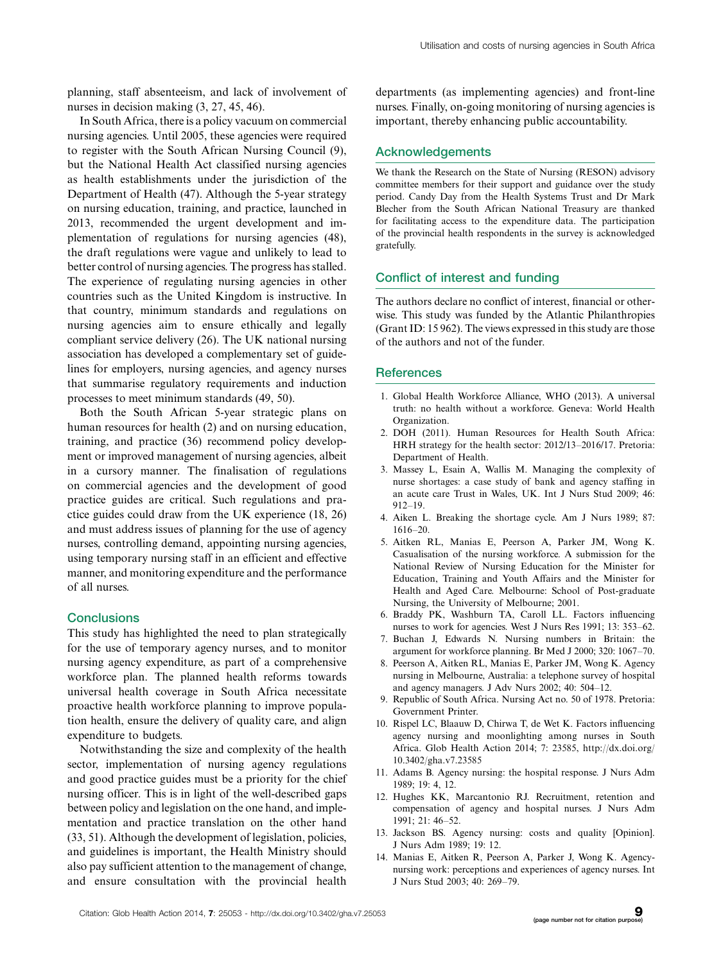planning, staff absenteeism, and lack of involvement of nurses in decision making  $(3, 27, 45, 46)$ .

In South Africa, there is a policy vacuum on commercial nursing agencies. Until 2005, these agencies were required to register with the South African Nursing Council (9), but the National Health Act classified nursing agencies as health establishments under the jurisdiction of the Department of Health (47). Although the 5-year strategy on nursing education, training, and practice, launched in 2013, recommended the urgent development and implementation of regulations for nursing agencies (48), the draft regulations were vague and unlikely to lead to better control of nursing agencies. The progress has stalled. The experience of regulating nursing agencies in other countries such as the United Kingdom is instructive. In that country, minimum standards and regulations on nursing agencies aim to ensure ethically and legally compliant service delivery (26). The UK national nursing association has developed a complementary set of guidelines for employers, nursing agencies, and agency nurses that summarise regulatory requirements and induction processes to meet minimum standards (49, 50).

Both the South African 5-year strategic plans on human resources for health (2) and on nursing education, training, and practice (36) recommend policy development or improved management of nursing agencies, albeit in a cursory manner. The finalisation of regulations on commercial agencies and the development of good practice guides are critical. Such regulations and practice guides could draw from the UK experience (18, 26) and must address issues of planning for the use of agency nurses, controlling demand, appointing nursing agencies, using temporary nursing staff in an efficient and effective manner, and monitoring expenditure and the performance of all nurses.

# **Conclusions**

This study has highlighted the need to plan strategically for the use of temporary agency nurses, and to monitor nursing agency expenditure, as part of a comprehensive workforce plan. The planned health reforms towards universal health coverage in South Africa necessitate proactive health workforce planning to improve population health, ensure the delivery of quality care, and align expenditure to budgets.

Notwithstanding the size and complexity of the health sector, implementation of nursing agency regulations and good practice guides must be a priority for the chief nursing officer. This is in light of the well-described gaps between policy and legislation on the one hand, and implementation and practice translation on the other hand (33, 51). Although the development of legislation, policies, and guidelines is important, the Health Ministry should also pay sufficient attention to the management of change, and ensure consultation with the provincial health

departments (as implementing agencies) and front-line nurses. Finally, on-going monitoring of nursing agencies is important, thereby enhancing public accountability.

### Acknowledgements

We thank the Research on the State of Nursing (RESON) advisory committee members for their support and guidance over the study period. Candy Day from the Health Systems Trust and Dr Mark Blecher from the South African National Treasury are thanked for facilitating access to the expenditure data. The participation of the provincial health respondents in the survey is acknowledged gratefully.

### Conflict of interest and funding

The authors declare no conflict of interest, financial or otherwise. This study was funded by the Atlantic Philanthropies (Grant ID: 15 962). The views expressed in this study are those of the authors and not of the funder.

### References

- 1. Global Health Workforce Alliance, WHO (2013). A universal truth: no health without a workforce. Geneva: World Health Organization.
- 2. DOH (2011). Human Resources for Health South Africa: HRH strategy for the health sector: 2012/13-2016/17. Pretoria: Department of Health.
- 3. Massey L, Esain A, Wallis M. Managing the complexity of nurse shortages: a case study of bank and agency staffing in an acute care Trust in Wales, UK. Int J Nurs Stud 2009; 46: 912-19.
- 4. Aiken L. Breaking the shortage cycle. Am J Nurs 1989; 87: 1616-20.
- 5. Aitken RL, Manias E, Peerson A, Parker JM, Wong K. Casualisation of the nursing workforce. A submission for the National Review of Nursing Education for the Minister for Education, Training and Youth Affairs and the Minister for Health and Aged Care. Melbourne: School of Post-graduate Nursing, the University of Melbourne; 2001.
- 6. Braddy PK, Washburn TA, Caroll LL. Factors influencing nurses to work for agencies. West J Nurs Res 1991; 13: 353-62.
- 7. Buchan J, Edwards N. Nursing numbers in Britain: the argument for workforce planning. Br Med J 2000; 320: 1067-70.
- 8. Peerson A, Aitken RL, Manias E, Parker JM, Wong K. Agency nursing in Melbourne, Australia: a telephone survey of hospital and agency managers. J Adv Nurs 2002; 40: 504-12.
- 9. Republic of South Africa. Nursing Act no. 50 of 1978. Pretoria: Government Printer.
- 10. Rispel LC, Blaauw D, Chirwa T, de Wet K. Factors influencing agency nursing and moonlighting among nurses in South Africa. Glob Health Action 2014; 7: 23585, [http://dx.doi.org/](http://dx.doi.org/10.3402/gha.v7.23585) [10.3402/gha.v7.23585](http://dx.doi.org/10.3402/gha.v7.23585)
- 11. Adams B. Agency nursing: the hospital response. J Nurs Adm 1989; 19: 4, 12.
- 12. Hughes KK, Marcantonio RJ. Recruitment, retention and compensation of agency and hospital nurses. J Nurs Adm 1991; 21: 46-52.
- 13. Jackson BS. Agency nursing: costs and quality [Opinion]. J Nurs Adm 1989; 19: 12.
- 14. Manias E, Aitken R, Peerson A, Parker J, Wong K. Agencynursing work: perceptions and experiences of agency nurses. Int J Nurs Stud 2003; 40: 269-79.